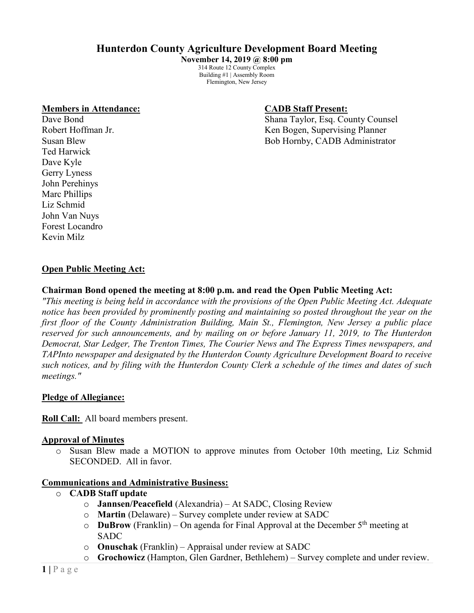# **Hunterdon County Agriculture Development Board Meeting**

**November 14, 2019 @ 8:00 pm** 314 Route 12 County Complex Building #1 | Assembly Room Flemington, New Jersey

#### **Members in Attendance: CADB Staff Present:**

Ted Harwick Dave Kyle Gerry Lyness John Perehinys Marc Phillips Liz Schmid John Van Nuys Forest Locandro Kevin Milz

Dave Bond Shana Taylor, Esq. County Counsel Robert Hoffman Jr. (a) The Robert Hoffman Jr. (a) Robert Hoffman Jr. (a) Robert Hoffman Jr. (a) Robert Hoffman D Susan Blew Bob Hornby, CADB Administrator

# **Open Public Meeting Act:**

## **Chairman Bond opened the meeting at 8:00 p.m. and read the Open Public Meeting Act:**

*"This meeting is being held in accordance with the provisions of the Open Public Meeting Act. Adequate notice has been provided by prominently posting and maintaining so posted throughout the year on the first floor of the County Administration Building, Main St., Flemington, New Jersey a public place reserved for such announcements, and by mailing on or before January 11, 2019, to The Hunterdon Democrat, Star Ledger, The Trenton Times, The Courier News and The Express Times newspapers, and TAPInto newspaper and designated by the Hunterdon County Agriculture Development Board to receive such notices, and by filing with the Hunterdon County Clerk a schedule of the times and dates of such meetings."*

#### **Pledge of Allegiance:**

**Roll Call:** All board members present.

#### **Approval of Minutes**

o Susan Blew made a MOTION to approve minutes from October 10th meeting, Liz Schmid SECONDED. All in favor.

#### **Communications and Administrative Business:**

- o **CADB Staff update**
	- o **Jannsen/Peacefield** (Alexandria) At SADC, Closing Review
	- o **Martin** (Delaware) Survey complete under review at SADC
	- o **DuBrow** (Franklin) On agenda for Final Approval at the December 5th meeting at SADC
	- o **Onuschak** (Franklin) Appraisal under review at SADC
	- o **Grochowicz** (Hampton, Glen Gardner, Bethlehem) Survey complete and under review.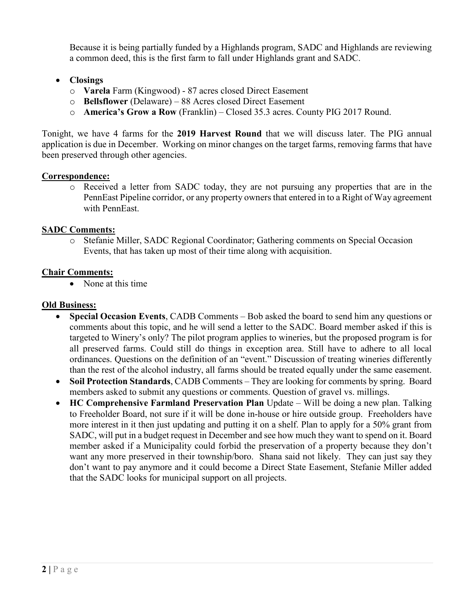Because it is being partially funded by a Highlands program, SADC and Highlands are reviewing a common deed, this is the first farm to fall under Highlands grant and SADC.

- **Closings**
	- o **Varela** Farm (Kingwood) 87 acres closed Direct Easement
	- o **Bellsflower** (Delaware) 88 Acres closed Direct Easement
	- o **America's Grow a Row** (Franklin) Closed 35.3 acres. County PIG 2017 Round.

Tonight, we have 4 farms for the **2019 Harvest Round** that we will discuss later. The PIG annual application is due in December. Working on minor changes on the target farms, removing farms that have been preserved through other agencies.

# **Correspondence:**

o Received a letter from SADC today, they are not pursuing any properties that are in the PennEast Pipeline corridor, or any property owners that entered in to a Right of Way agreement with PennEast.

# **SADC Comments:**

o Stefanie Miller, SADC Regional Coordinator; Gathering comments on Special Occasion Events, that has taken up most of their time along with acquisition.

## **Chair Comments:**

• None at this time

## **Old Business:**

- **Special Occasion Events**, CADB Comments Bob asked the board to send him any questions or comments about this topic, and he will send a letter to the SADC. Board member asked if this is targeted to Winery's only? The pilot program applies to wineries, but the proposed program is for all preserved farms. Could still do things in exception area. Still have to adhere to all local ordinances. Questions on the definition of an "event." Discussion of treating wineries differently than the rest of the alcohol industry, all farms should be treated equally under the same easement.
- **Soil Protection Standards**, CADB Comments They are looking for comments by spring. Board members asked to submit any questions or comments. Question of gravel vs. millings.
- **HC Comprehensive Farmland Preservation Plan** Update Will be doing a new plan. Talking to Freeholder Board, not sure if it will be done in-house or hire outside group. Freeholders have more interest in it then just updating and putting it on a shelf. Plan to apply for a 50% grant from SADC, will put in a budget request in December and see how much they want to spend on it. Board member asked if a Municipality could forbid the preservation of a property because they don't want any more preserved in their township/boro. Shana said not likely. They can just say they don't want to pay anymore and it could become a Direct State Easement, Stefanie Miller added that the SADC looks for municipal support on all projects.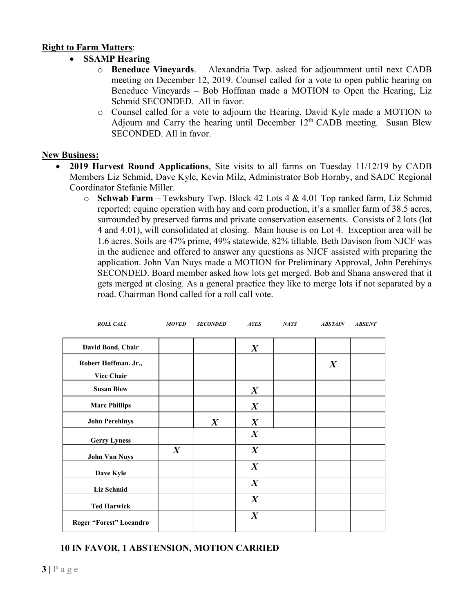## **Right to Farm Matters**:

- **SSAMP Hearing**
	- o **Beneduce Vineyards**. Alexandria Twp. asked for adjournment until next CADB meeting on December 12, 2019. Counsel called for a vote to open public hearing on Beneduce Vineyards – Bob Hoffman made a MOTION to Open the Hearing, Liz Schmid SECONDED. All in favor.
	- o Counsel called for a vote to adjourn the Hearing, David Kyle made a MOTION to Adjourn and Carry the hearing until December  $12<sup>th</sup>$  CADB meeting. Susan Blew SECONDED. All in favor.

#### **New Business:**

- **2019 Harvest Round Applications**, Site visits to all farms on Tuesday 11/12/19 by CADB Members Liz Schmid, Dave Kyle, Kevin Milz, Administrator Bob Hornby, and SADC Regional Coordinator Stefanie Miller.
	- o **Schwab Farm** Tewksbury Twp. Block 42 Lots 4 & 4.01 Top ranked farm, Liz Schmid reported; equine operation with hay and corn production, it's a smaller farm of 38.5 acres, surrounded by preserved farms and private conservation easements. Consists of 2 lots (lot 4 and 4.01), will consolidated at closing. Main house is on Lot 4. Exception area will be 1.6 acres. Soils are 47% prime, 49% statewide, 82% tillable. Beth Davison from NJCF was in the audience and offered to answer any questions as NJCF assisted with preparing the application. John Van Nuys made a MOTION for Preliminary Approval, John Perehinys SECONDED. Board member asked how lots get merged. Bob and Shana answered that it gets merged at closing. As a general practice they like to merge lots if not separated by a road. Chairman Bond called for a roll call vote.

| <b>ROLL CALL</b>        | <b>MOVED</b>     | <b>SECONDED</b>  | <b>AYES</b>      | <b>NAYS</b> | <b>ABSTAIN</b>   | <b>ABSENT</b> |
|-------------------------|------------------|------------------|------------------|-------------|------------------|---------------|
| David Bond, Chair       |                  |                  |                  |             |                  |               |
|                         |                  |                  | $\boldsymbol{X}$ |             |                  |               |
| Robert Hoffman. Jr.,    |                  |                  |                  |             | $\boldsymbol{X}$ |               |
| <b>Vice Chair</b>       |                  |                  |                  |             |                  |               |
| <b>Susan Blew</b>       |                  |                  | $\boldsymbol{X}$ |             |                  |               |
| <b>Marc Phillips</b>    |                  |                  | $\boldsymbol{X}$ |             |                  |               |
| <b>John Perehinys</b>   |                  | $\boldsymbol{X}$ | $\boldsymbol{X}$ |             |                  |               |
| <b>Gerry Lyness</b>     |                  |                  | $\boldsymbol{X}$ |             |                  |               |
| <b>John Van Nuys</b>    | $\boldsymbol{X}$ |                  | $\boldsymbol{X}$ |             |                  |               |
| Dave Kyle               |                  |                  | $\boldsymbol{X}$ |             |                  |               |
| <b>Liz Schmid</b>       |                  |                  | $\boldsymbol{X}$ |             |                  |               |
| <b>Ted Harwick</b>      |                  |                  | $\boldsymbol{X}$ |             |                  |               |
| Roger "Forest" Locandro |                  |                  | $\boldsymbol{X}$ |             |                  |               |

# **10 IN FAVOR, 1 ABSTENSION, MOTION CARRIED**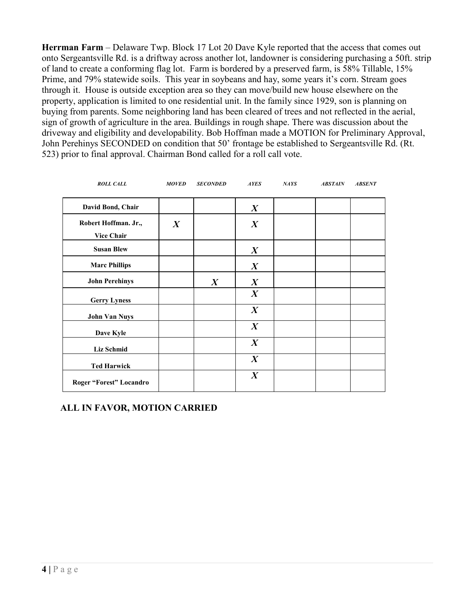**Herrman Farm** – Delaware Twp. Block 17 Lot 20 Dave Kyle reported that the access that comes out onto Sergeantsville Rd. is a driftway across another lot, landowner is considering purchasing a 50ft. strip of land to create a conforming flag lot. Farm is bordered by a preserved farm, is 58% Tillable, 15% Prime, and 79% statewide soils. This year in soybeans and hay, some years it's corn. Stream goes through it. House is outside exception area so they can move/build new house elsewhere on the property, application is limited to one residential unit. In the family since 1929, son is planning on buying from parents. Some neighboring land has been cleared of trees and not reflected in the aerial, sign of growth of agriculture in the area. Buildings in rough shape. There was discussion about the driveway and eligibility and developability. Bob Hoffman made a MOTION for Preliminary Approval, John Perehinys SECONDED on condition that 50' frontage be established to Sergeantsville Rd. (Rt. 523) prior to final approval. Chairman Bond called for a roll call vote.

| <b>ROLL CALL</b>        | <b>MOVED</b>     | <b>SECONDED</b>  | <b>AYES</b>      | <b>NAYS</b> | <b>ABSTAIN</b> | <b>ABSENT</b> |
|-------------------------|------------------|------------------|------------------|-------------|----------------|---------------|
| David Bond, Chair       |                  |                  | $\boldsymbol{X}$ |             |                |               |
| Robert Hoffman. Jr.,    | $\boldsymbol{X}$ |                  | $\boldsymbol{X}$ |             |                |               |
| <b>Vice Chair</b>       |                  |                  |                  |             |                |               |
| <b>Susan Blew</b>       |                  |                  | $\boldsymbol{X}$ |             |                |               |
| <b>Marc Phillips</b>    |                  |                  | $\boldsymbol{X}$ |             |                |               |
| <b>John Perehinys</b>   |                  | $\boldsymbol{X}$ | $\boldsymbol{X}$ |             |                |               |
| <b>Gerry Lyness</b>     |                  |                  | $\boldsymbol{X}$ |             |                |               |
| <b>John Van Nuys</b>    |                  |                  | $\boldsymbol{X}$ |             |                |               |
| Dave Kyle               |                  |                  | $\boldsymbol{X}$ |             |                |               |
| Liz Schmid              |                  |                  | $\boldsymbol{X}$ |             |                |               |
| <b>Ted Harwick</b>      |                  |                  | $\boldsymbol{X}$ |             |                |               |
| Roger "Forest" Locandro |                  |                  | $\boldsymbol{X}$ |             |                |               |

# **ALL IN FAVOR, MOTION CARRIED**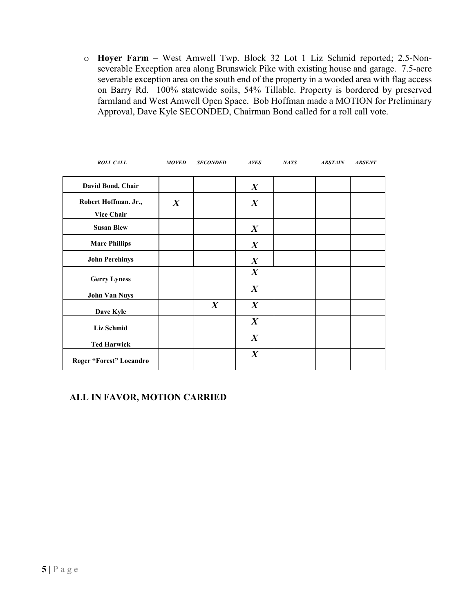o **Hoyer Farm** – West Amwell Twp. Block 32 Lot 1 Liz Schmid reported; 2.5-Nonseverable Exception area along Brunswick Pike with existing house and garage. 7.5-acre severable exception area on the south end of the property in a wooded area with flag access on Barry Rd. 100% statewide soils, 54% Tillable. Property is bordered by preserved farmland and West Amwell Open Space. Bob Hoffman made a MOTION for Preliminary Approval, Dave Kyle SECONDED, Chairman Bond called for a roll call vote.

| <b>ROLL CALL</b>                          | <b>MOVED</b>     | <b>SECONDED</b>  | <b>AYES</b>      | NAYS | <b>ABSTAIN</b> | <b>ABSENT</b> |
|-------------------------------------------|------------------|------------------|------------------|------|----------------|---------------|
| David Bond, Chair                         |                  |                  | $\boldsymbol{X}$ |      |                |               |
| Robert Hoffman. Jr.,<br><b>Vice Chair</b> | $\boldsymbol{X}$ |                  | $\boldsymbol{X}$ |      |                |               |
| <b>Susan Blew</b>                         |                  |                  | $\boldsymbol{X}$ |      |                |               |
| <b>Marc Phillips</b>                      |                  |                  | $\boldsymbol{X}$ |      |                |               |
| <b>John Perehinys</b>                     |                  |                  | $\boldsymbol{X}$ |      |                |               |
| <b>Gerry Lyness</b>                       |                  |                  | $\boldsymbol{X}$ |      |                |               |
| <b>John Van Nuys</b>                      |                  |                  | $\boldsymbol{X}$ |      |                |               |
| Dave Kyle                                 |                  | $\boldsymbol{X}$ | $\boldsymbol{X}$ |      |                |               |
| <b>Liz Schmid</b>                         |                  |                  | $\boldsymbol{X}$ |      |                |               |
| <b>Ted Harwick</b>                        |                  |                  | $\boldsymbol{X}$ |      |                |               |
| Roger "Forest" Locandro                   |                  |                  | $\boldsymbol{X}$ |      |                |               |

# **ALL IN FAVOR, MOTION CARRIED**